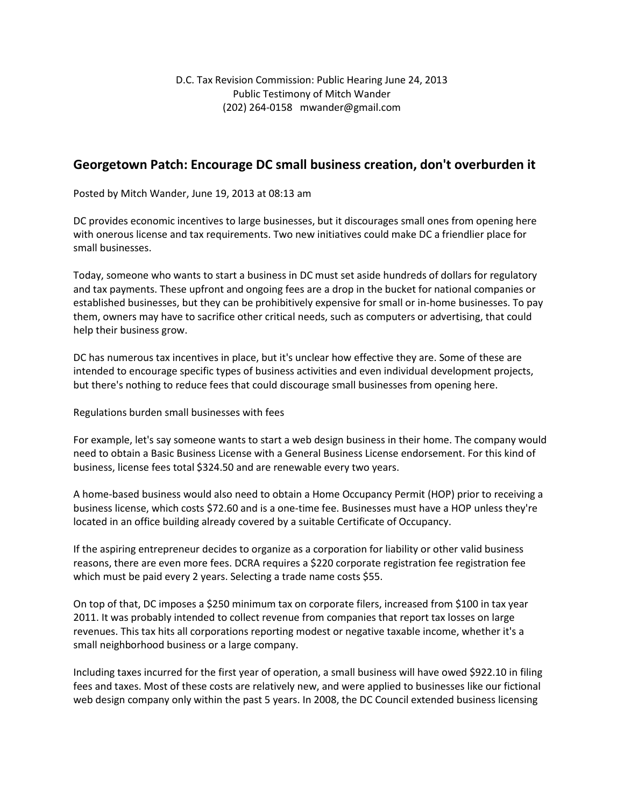## **Georgetown Patch: Encourage DC small business creation, don't overburden it**

Posted by Mitch Wander, June 19, 2013 at 08:13 am

DC provides economic incentives to large businesses, but it discourages small ones from opening here with onerous license and tax requirements. Two new initiatives could make DC a friendlier place for small businesses.

Today, someone who wants to start a business in DC must set aside hundreds of dollars for regulatory and tax payments. These upfront and ongoing fees are a drop in the bucket for national companies or established businesses, but they can be prohibitively expensive for small or in-home businesses. To pay them, owners may have to sacrifice other critical needs, such as computers or advertising, that could help their business grow.

DC has numerous tax incentives in place, but it's unclear how effective they are. Some of these are intended to encourage specific types of business activities and even individual development projects, but there's nothing to reduce fees that could discourage small businesses from opening here.

Regulations burden small businesses with fees

For example, let's say someone wants to start a web design business in their home. The company would need to obtain a Basic Business License with a General Business License endorsement. For this kind of business, license fees total \$324.50 and are renewable every two years.

A home-based business would also need to obtain a Home Occupancy Permit (HOP) prior to receiving a business license, which costs \$72.60 and is a one-time fee. Businesses must have a HOP unless they're located in an office building already covered by a suitable Certificate of Occupancy.

If the aspiring entrepreneur decides to organize as a corporation for liability or other valid business reasons, there are even more fees. DCRA requires a \$220 corporate registration fee registration fee which must be paid every 2 years. Selecting a trade name costs \$55.

On top of that, DC imposes a \$250 minimum tax on corporate filers, increased from \$100 in tax year 2011. It was probably intended to collect revenue from companies that report tax losses on large revenues. This tax hits all corporations reporting modest or negative taxable income, whether it's a small neighborhood business or a large company.

Including taxes incurred for the first year of operation, a small business will have owed \$922.10 in filing fees and taxes. Most of these costs are relatively new, and were applied to businesses like our fictional web design company only within the past 5 years. In 2008, the DC Council extended business licensing